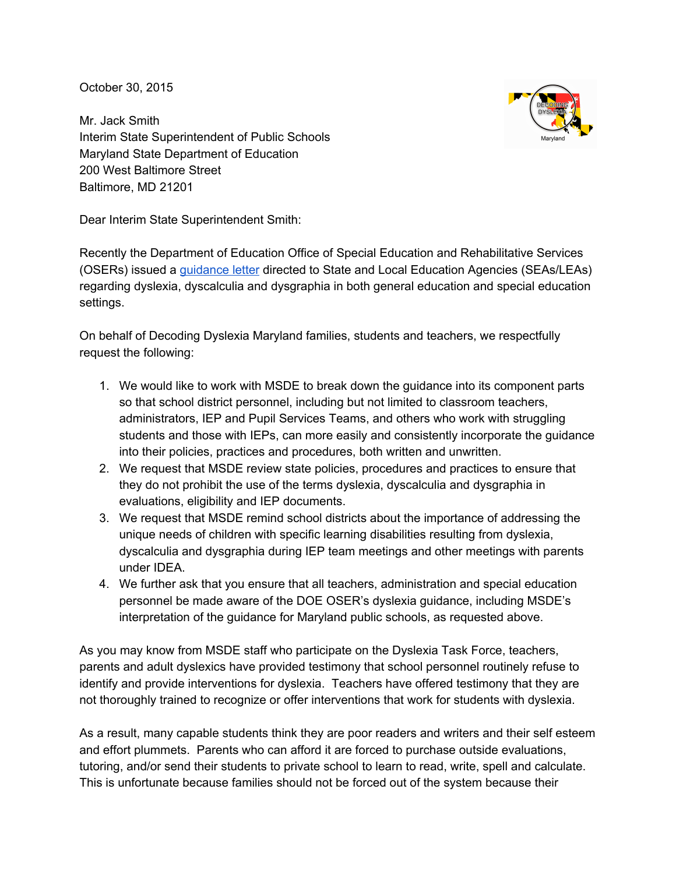October 30, 2015

Mr. Jack Smith Interim State Superintendent of Public Schools Maryland State Department of Education 200 West Baltimore Street Baltimore, MD 21201

Dear Interim State Superintendent Smith:

Recently the Department of Education Office of Special Education and Rehabilitative Services (OSERs) issued a guidance letter directed to State and Local Education Agencies (SEAs/LEAs) regarding dyslexia, dyscalculia and dysgraphia in both general education and special education settings.

On behalf of Decoding Dyslexia Maryland families, students and teachers, we respectfully request the following:

- 1. We would like to work with MSDE to break down the guidance into its component parts so that school district personnel, including but not limited to classroom teachers, administrators, IEP and Pupil Services Teams, and others who work with struggling students and those with IEPs, can more easily and consistently incorporate the guidance into their policies, practices and procedures, both written and unwritten.
- 2. We request that MSDE review state policies, procedures and practices to ensure that they do not prohibit the use of the terms dyslexia, dyscalculia and dysgraphia in evaluations, eligibility and IEP documents.
- 3. We request that MSDE remind school districts about the importance of addressing the unique needs of children with specific learning disabilities resulting from dyslexia, dyscalculia and dysgraphia during IEP team meetings and other meetings with parents under IDEA.
- 4. We further ask that you ensure that all teachers, administration and special education personnel be made aware of the DOE OSER's dyslexia guidance, including MSDE's interpretation of the guidance for Maryland public schools, as requested above.

As you may know from MSDE staff who participate on the Dyslexia Task Force, teachers, parents and adult dyslexics have provided testimony that school personnel routinely refuse to identify and provide interventions for dyslexia. Teachers have offered testimony that they are not thoroughly trained to recognize or offer interventions that work for students with dyslexia.

As a result, many capable students think they are poor readers and writers and their self esteem and effort plummets. Parents who can afford it are forced to purchase outside evaluations, tutoring, and/or send their students to private school to learn to read, write, spell and calculate. This is unfortunate because families should not be forced out of the system because their